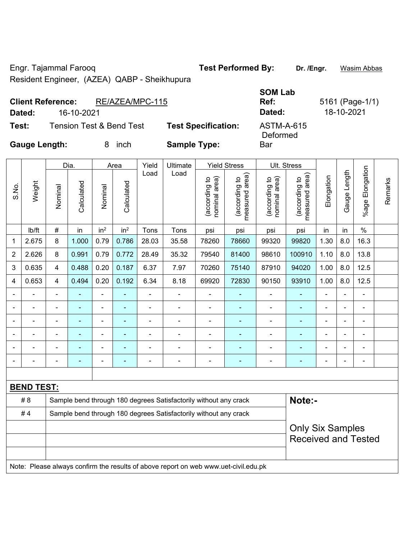Engr. Tajammal Farooq **Test Performed By: Dr. /Engr.** Wasim Abbas Resident Engineer, (AZEA) QABP - Sheikhupura

**Client Reference:** RE/AZEA/MPC-115

**SOM Lab Ref:** 5161 (Page-1/1) Deformed

 $\overline{\phantom{a}}$ 

**Dated:** 16-10-2021 **Dated:** 18-10-2021

**Bar** 

**Test:** Tension Test & Bend Test **Test Specification:** ASTM-A-615

**Gauge Length:** 8 inch **Sample Type:** 

|                          |                   |                         | Dia.                                                             |                 | Area            | Yield          | Ultimate                                                                            |                                | <b>Yield Stress</b>             |                                | Ult. Stress                     |                |                |                      |         |
|--------------------------|-------------------|-------------------------|------------------------------------------------------------------|-----------------|-----------------|----------------|-------------------------------------------------------------------------------------|--------------------------------|---------------------------------|--------------------------------|---------------------------------|----------------|----------------|----------------------|---------|
| S.No.                    | Weight            | Nominal                 | Calculated                                                       | Nominal         | Calculated      | Load           | Load                                                                                | nominal area)<br>(according to | (according to<br>measured area) | nominal area)<br>(according to | (according to<br>measured area) | Elongation     | Gauge Length   | Elongation<br>%age l | Remarks |
|                          | Ib/ft             | $\#$                    | in                                                               | in <sup>2</sup> | in <sup>2</sup> | Tons           | Tons                                                                                | psi                            | psi                             | psi                            | psi                             | in             | in             | $\%$                 |         |
| 1                        | 2.675             | 8                       | 1.000                                                            | 0.79            | 0.786           | 28.03          | 35.58                                                                               | 78260                          | 78660                           | 99320                          | 99820                           | 1.30           | 8.0            | 16.3                 |         |
| $\overline{2}$           | 2.626             | 8                       | 0.991                                                            | 0.79            | 0.772           | 28.49          | 35.32                                                                               | 79540                          | 81400                           | 98610                          | 100910                          | 1.10           | 8.0            | 13.8                 |         |
| 3                        | 0.635             | $\overline{4}$          | 0.488                                                            | 0.20            | 0.187           | 6.37           | 7.97                                                                                | 70260                          | 75140                           | 87910                          | 94020                           | 1.00           | 8.0            | 12.5                 |         |
| 4                        | 0.653             | 4                       | 0.494                                                            | 0.20            | 0.192           | 6.34           | 8.18                                                                                | 69920                          | 72830                           | 90150                          | 93910                           | 1.00           | 8.0            | 12.5                 |         |
|                          | ÷,                | $\blacksquare$          | $\blacksquare$                                                   | ÷               |                 | $\blacksquare$ | $\overline{\phantom{a}}$                                                            | L,                             | ÷                               | ÷                              | $\blacksquare$                  | $\blacksquare$ | $\blacksquare$ | ÷,                   |         |
|                          | $\blacksquare$    | $\blacksquare$          | $\blacksquare$                                                   | ÷,              |                 | $\blacksquare$ | $\blacksquare$                                                                      | ä,                             | ۰                               | $\blacksquare$                 | $\blacksquare$                  | ÷              | $\blacksquare$ | $\blacksquare$       |         |
|                          | ÷                 |                         | $\blacksquare$                                                   | $\blacksquare$  |                 | $\blacksquare$ | $\blacksquare$                                                                      | ä,                             |                                 | $\blacksquare$                 | $\blacksquare$                  | ÷              |                | $\blacksquare$       |         |
|                          |                   |                         |                                                                  | ۰               |                 |                | $\blacksquare$                                                                      |                                |                                 |                                |                                 |                |                | $\blacksquare$       |         |
|                          |                   |                         |                                                                  |                 |                 |                |                                                                                     | $\blacksquare$                 |                                 |                                |                                 |                |                |                      |         |
| $\overline{\phantom{0}}$ |                   | $\blacksquare$          | $\overline{\phantom{0}}$                                         | $\overline{a}$  |                 |                | $\overline{\phantom{0}}$                                                            | $\overline{a}$                 | ۰                               | $\overline{\phantom{0}}$       | $\overline{\phantom{a}}$        | ۰              | $\blacksquare$ | $\blacksquare$       |         |
|                          |                   |                         |                                                                  |                 |                 |                |                                                                                     |                                |                                 |                                |                                 |                |                |                      |         |
|                          | <b>BEND TEST:</b> |                         |                                                                  |                 |                 |                |                                                                                     |                                |                                 |                                |                                 |                |                |                      |         |
|                          | #8                |                         |                                                                  |                 |                 |                | Sample bend through 180 degrees Satisfactorily without any crack                    |                                |                                 |                                | Note:-                          |                |                |                      |         |
|                          | #4                |                         | Sample bend through 180 degrees Satisfactorily without any crack |                 |                 |                |                                                                                     |                                |                                 |                                |                                 |                |                |                      |         |
|                          |                   | <b>Only Six Samples</b> |                                                                  |                 |                 |                |                                                                                     |                                |                                 |                                |                                 |                |                |                      |         |
|                          |                   |                         |                                                                  |                 |                 |                |                                                                                     |                                |                                 |                                | <b>Received and Tested</b>      |                |                |                      |         |
|                          |                   |                         |                                                                  |                 |                 |                |                                                                                     |                                |                                 |                                |                                 |                |                |                      |         |
|                          |                   |                         |                                                                  |                 |                 |                | Note: Please always confirm the results of above report on web www.uet-civil.edu.pk |                                |                                 |                                |                                 |                |                |                      |         |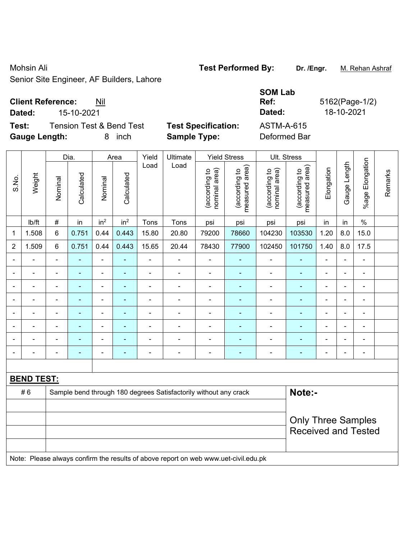# Mohsin Ali **Test Performed By: Dr. /Engr.** M. Rehan Ashraf

Senior Site Engineer, AF Builders, Lahore

## **Client Reference:** Nil

**Test:** Tension Test & Bend Test **Test Specification:** A **Gauge Length:** 8 inch **Sample Type:** Deformed Bar

|        |                                     |                            | <b>SOM Lab</b> |            |
|--------|-------------------------------------|----------------------------|----------------|------------|
|        | <b>Client Reference:</b><br>Nil     | Ref:                       | 5162(Page-1/2) |            |
| Dated: | 15-10-2021                          |                            | Dated:         | 18-10-2021 |
| Test:  | <b>Tension Test &amp; Bend Test</b> | <b>Test Specification:</b> | ASTM-A-615     |            |

|                |                   |                | Dia.           |                          | Area                      | Yield          | Ultimate                                                                            |                                | <b>Yield Stress</b>             |                                | Ult. Stress                     |                |                          |                       |         |
|----------------|-------------------|----------------|----------------|--------------------------|---------------------------|----------------|-------------------------------------------------------------------------------------|--------------------------------|---------------------------------|--------------------------------|---------------------------------|----------------|--------------------------|-----------------------|---------|
| S.No.          | Weight            | Nominal        | Calculated     | Nominal                  | Calculated                | Load           | Load                                                                                | (according to<br>nominal area) | (according to<br>measured area) | (according to<br>nominal area) | (according to<br>measured area) | Elongation     | Gauge Length             | Elongation<br>$%$ age | Remarks |
|                | lb/ft             | $\#$           | in             | in <sup>2</sup>          | in <sup>2</sup>           | Tons           | Tons                                                                                | psi                            | psi                             | psi                            | psi                             | in             | in                       | $\%$                  |         |
| $\mathbf{1}$   | 1.508             | 6              | 0.751          | 0.44                     | 0.443                     | 15.80          | 20.80                                                                               | 79200                          | 78660                           | 104230                         | 103530                          | 1.20           | 8.0                      | 15.0                  |         |
| $\overline{2}$ | 1.509             | 6              | 0.751          | 0.44                     | 0.443                     | 15.65          | 20.44                                                                               | 78430                          | 77900                           | 102450                         | 101750                          | 1.40           | 8.0                      | 17.5                  |         |
| $\blacksquare$ | $\blacksquare$    | $\blacksquare$ | $\blacksquare$ | Ξ                        | $\blacksquare$            | ÷,             | $\overline{\phantom{a}}$                                                            | $\blacksquare$                 | $\blacksquare$                  | ÷,                             | ÷,                              | L,             | $\blacksquare$           | $\blacksquare$        |         |
| ۰              | ۰                 | $\blacksquare$ | $\blacksquare$ | $\blacksquare$           | ۰                         | ÷,             | $\blacksquare$                                                                      | $\blacksquare$                 | $\blacksquare$                  | $\blacksquare$                 | $\blacksquare$                  | $\blacksquare$ | $\overline{\phantom{0}}$ | $\blacksquare$        |         |
|                | $\blacksquare$    | ä,             | $\blacksquare$ | $\blacksquare$           | ÷                         | ÷,             | $\blacksquare$                                                                      | $\blacksquare$                 | Ξ                               | $\blacksquare$                 | $\blacksquare$                  | $\blacksquare$ | $\blacksquare$           | $\blacksquare$        |         |
|                |                   | $\blacksquare$ | ÷,             | ÷,                       | $\blacksquare$            | ÷,             | $\blacksquare$                                                                      | $\blacksquare$                 |                                 | ÷,                             | ä,                              | ä,             |                          | $\blacksquare$        |         |
| $\overline{a}$ |                   | $\blacksquare$ | $\blacksquare$ | ÷                        | ÷                         |                | $\overline{\phantom{a}}$                                                            |                                | ۰                               | $\blacksquare$                 |                                 | $\blacksquare$ |                          | ä,                    |         |
| $\blacksquare$ |                   | $\blacksquare$ | $\blacksquare$ | $\blacksquare$           | ۰                         | $\blacksquare$ | $\blacksquare$                                                                      | $\blacksquare$                 | ÷                               | ä,                             | ٠                               | $\blacksquare$ | $\blacksquare$           | $\blacksquare$        |         |
|                |                   | L,             | ٠              | ÷                        | ۰                         | ÷              | $\blacksquare$                                                                      | $\frac{1}{2}$                  | ÷                               | ÷,                             | $\blacksquare$                  |                |                          | $\blacksquare$        |         |
|                |                   | -              | $\blacksquare$ | $\overline{\phantom{a}}$ | ÷                         | $\blacksquare$ | $\blacksquare$                                                                      | $\overline{\phantom{a}}$       | ÷                               | ÷,                             | ٠                               | $\blacksquare$ |                          | $\blacksquare$        |         |
|                |                   |                |                |                          |                           |                |                                                                                     |                                |                                 |                                |                                 |                |                          |                       |         |
|                | <b>BEND TEST:</b> |                |                |                          |                           |                |                                                                                     |                                |                                 |                                |                                 |                |                          |                       |         |
|                | #6                |                |                |                          |                           |                | Sample bend through 180 degrees Satisfactorily without any crack                    |                                |                                 |                                | Note:-                          |                |                          |                       |         |
|                |                   |                |                |                          |                           |                |                                                                                     |                                |                                 |                                |                                 |                |                          |                       |         |
|                |                   |                |                |                          | <b>Only Three Samples</b> |                |                                                                                     |                                |                                 |                                |                                 |                |                          |                       |         |
|                |                   |                |                |                          |                           |                |                                                                                     |                                |                                 |                                | <b>Received and Tested</b>      |                |                          |                       |         |
|                |                   |                |                |                          |                           |                |                                                                                     |                                |                                 |                                |                                 |                |                          |                       |         |
|                |                   |                |                |                          |                           |                | Note: Please always confirm the results of above report on web www.uet-civil.edu.pk |                                |                                 |                                |                                 |                |                          |                       |         |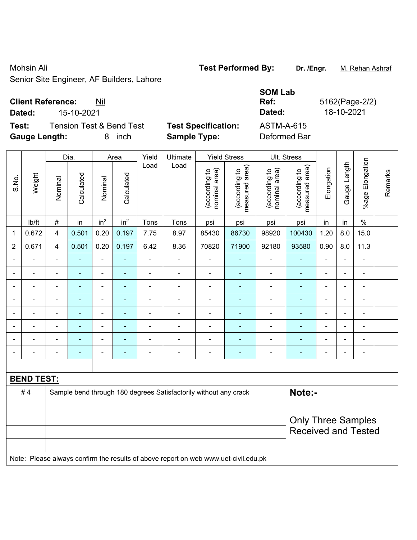# Mohsin Ali **Test Performed By: Dr. /Engr.** M. Rehan Ashraf

Senior Site Engineer, AF Builders, Lahore

## **Client Reference:** Nil

**Test:** Tension Test & Bend Test Test Specification: **Gauge Length:** 8 inch **Sample Type:** Deformed Bar

|        |                                 |                            | <b>SOM Lab</b> |             |
|--------|---------------------------------|----------------------------|----------------|-------------|
|        | <b>Client Reference:</b><br>Nil |                            | Ref:           | 5162(Page-2 |
| Dated: | 15-10-2021                      |                            | Dated:         | 18-10-2021  |
| Test:  | Tension Test & Bend Test        | <b>Test Specification:</b> | ASTM-A-615     |             |

Page-2/2)

|                |                   |                                                                  | Dia.       |                          | Area                     | Yield          | Ultimate       |                                | <b>Yield Stress</b>             |                                | Ult. Stress                     |                |                |                          |         |
|----------------|-------------------|------------------------------------------------------------------|------------|--------------------------|--------------------------|----------------|----------------|--------------------------------|---------------------------------|--------------------------------|---------------------------------|----------------|----------------|--------------------------|---------|
| S.No.          | Weight            | Nominal                                                          | Calculated | Nominal                  | Calculated               | Load           | Load           | (according to<br>nominal area) | measured area)<br>(according to | nominal area)<br>(according to | (according to<br>measured area) | Elongation     | Gauge Length   | Elongation<br>$%$ age    | Remarks |
|                | Ib/ft             | $\#$                                                             | in         | in <sup>2</sup>          | in <sup>2</sup>          | Tons           | Tons           | psi                            | psi                             | psi                            | psi                             | in             | in             | $\%$                     |         |
| $\mathbf{1}$   | 0.672             | 4                                                                | 0.501      | 0.20                     | 0.197                    | 7.75           | 8.97           | 85430                          | 86730                           | 98920                          | 100430                          | 1.20           | 8.0            | 15.0                     |         |
| $\overline{2}$ | 0.671             | 4                                                                | 0.501      | 0.20                     | 0.197                    | 6.42           | 8.36           | 70820                          | 71900                           | 92180                          | 93580                           | 0.90           | 8.0            | 11.3                     |         |
|                |                   | $\blacksquare$                                                   |            | $\blacksquare$           | ÷                        |                |                | ä,                             |                                 | $\overline{a}$                 | $\blacksquare$                  | ä,             |                | $\frac{1}{2}$            |         |
|                |                   |                                                                  |            | $\blacksquare$           | $\blacksquare$           |                | $\blacksquare$ | $\blacksquare$                 | $\overline{\phantom{a}}$        | $\blacksquare$                 | $\blacksquare$                  | $\blacksquare$ |                | ۰                        |         |
|                |                   | $\blacksquare$                                                   |            | $\blacksquare$           | ٠                        | $\blacksquare$ | $\blacksquare$ | $\blacksquare$                 | ٠                               | $\blacksquare$                 | $\blacksquare$                  | $\blacksquare$ | $\blacksquare$ | $\overline{\phantom{a}}$ |         |
|                |                   | $\blacksquare$                                                   |            | $\overline{\phantom{a}}$ | ۰                        |                |                | ٠                              |                                 | $\overline{\phantom{a}}$       |                                 | ۰              | $\blacksquare$ | $\overline{\phantom{a}}$ |         |
|                |                   |                                                                  |            | $\blacksquare$           | $\overline{\phantom{0}}$ |                | L.             | $\blacksquare$                 | $\blacksquare$                  | $\blacksquare$                 | $\blacksquare$                  | $\blacksquare$ |                | $\blacksquare$           |         |
|                |                   | $\blacksquare$                                                   |            | $\overline{\phantom{0}}$ | $\overline{\phantom{0}}$ | $\blacksquare$ | $\blacksquare$ | $\blacksquare$                 |                                 | $\overline{\phantom{0}}$       | $\blacksquare$                  | ۰              | $\blacksquare$ | $\overline{\phantom{a}}$ |         |
|                |                   |                                                                  |            | $\blacksquare$           | ۰                        |                |                |                                |                                 | $\overline{\phantom{a}}$       |                                 | $\blacksquare$ |                | $\overline{\phantom{a}}$ |         |
|                |                   |                                                                  |            | $\blacksquare$           | $\blacksquare$           |                | L.             | $\blacksquare$                 | ٠                               | $\overline{\phantom{0}}$       | $\blacksquare$                  | $\blacksquare$ |                | $\blacksquare$           |         |
|                |                   |                                                                  |            |                          |                          |                |                |                                |                                 |                                |                                 |                |                |                          |         |
|                | <b>BEND TEST:</b> |                                                                  |            |                          |                          |                |                |                                |                                 |                                |                                 |                |                |                          |         |
|                | #4                | Sample bend through 180 degrees Satisfactorily without any crack |            |                          |                          |                |                |                                |                                 |                                |                                 | Note:-         |                |                          |         |
|                |                   |                                                                  |            |                          |                          |                |                |                                |                                 |                                |                                 |                |                |                          |         |
|                |                   |                                                                  |            |                          |                          |                |                |                                |                                 |                                | <b>Only Three Samples</b>       |                |                |                          |         |
|                |                   |                                                                  |            |                          |                          |                |                |                                |                                 |                                | <b>Received and Tested</b>      |                |                |                          |         |
|                |                   |                                                                  |            |                          |                          |                |                |                                |                                 |                                |                                 |                |                |                          |         |

Note: Please always confirm the results of above report on web www.uet-civil.edu.pk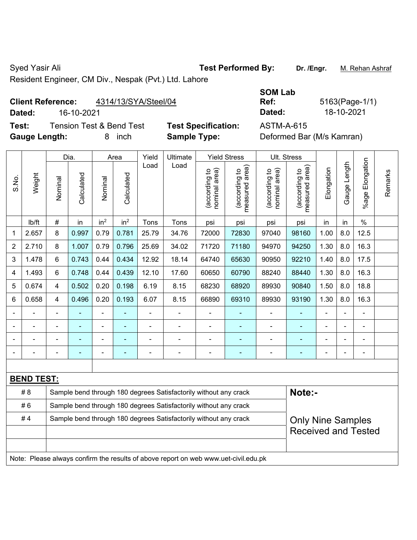Syed Yasir Ali **Test Performed By:** Dr. /Engr. M. Rehan Ashraf

Resident Engineer, CM Div., Nespak (Pvt.) Ltd. Lahore

## **Client Reference:** 4314/13/SYA/Steel/04

**Dated:** 16-10-2021 **Dated:** 18-10-2021

| Test: | <b>Gauge Length:</b> |         | <b>ASTM-A-615</b><br><b>Tension Test &amp; Bend Test</b><br><b>Test Specification:</b><br><b>Sample Type:</b><br>Deformed Bar (M/s Kamran)<br>8<br>inch |         |                    |               |                  |                                       |                                                                                                |                                                    |                                                    |            |                                     |  |
|-------|----------------------|---------|---------------------------------------------------------------------------------------------------------------------------------------------------------|---------|--------------------|---------------|------------------|---------------------------------------|------------------------------------------------------------------------------------------------|----------------------------------------------------|----------------------------------------------------|------------|-------------------------------------|--|
| S.No. | Weight               | Nominal | Dia.<br>Calculated                                                                                                                                      | Nominal | Area<br>Calculated | Yield<br>Load | Ultimate<br>Load | ea)<br>요<br>(according<br>nominal are | <b>Yield Stress</b><br>rea)<br>$\overline{c}$<br>ರಾ<br>ω<br>cordir<br>᠊ᠣ<br>leasu<br><u>(a</u> | Ult. Stress<br>area)<br>요<br>(according<br>hominal | rea)<br>đ<br>ပာ<br>ω<br>᠊ᠣ<br>ㅎ<br>(accor<br>leasu | Elongation | $\frac{4}{5}$<br>ծ<br>ზი<br>ლ<br>ලී |  |

|                |                   | Dia.           |            |                 | Area            | Yield          | Ultimate<br>Yield Stress<br>UII. Stress                                             |                                   |                                 |                                |                                 |                |                |                 |         |  |
|----------------|-------------------|----------------|------------|-----------------|-----------------|----------------|-------------------------------------------------------------------------------------|-----------------------------------|---------------------------------|--------------------------------|---------------------------------|----------------|----------------|-----------------|---------|--|
| S.No.          | Weight            | Nominal        | Calculated | Nominal         | Calculated      | Load           | Load                                                                                | area)<br>(according to<br>nominal | (according to<br>measured area) | (according to<br>nominal area) | measured area)<br>(according to | Elongation     | Gauge Length   | %age Elongation | Remarks |  |
|                | lb/ft             | #              | in         | in <sup>2</sup> | in <sup>2</sup> | Tons           | Tons                                                                                | psi                               | psi                             | psi                            | psi                             | in             | in             | $\%$            |         |  |
| $\mathbf{1}$   | 2.657             | 8              | 0.997      | 0.79            | 0.781           | 25.79          | 34.76                                                                               | 72000                             | 72830                           | 97040                          | 98160                           | 1.00           | 8.0            | 12.5            |         |  |
| $\overline{2}$ | 2.710             | 8              | 1.007      | 0.79            | 0.796           | 25.69          | 34.02                                                                               | 71720                             | 71180                           | 94970                          | 94250                           | 1.30           | 8.0            | 16.3            |         |  |
| 3              | 1.478             | 6              | 0.743      | 0.44            | 0.434           | 12.92          | 18.14                                                                               | 64740                             | 65630                           | 90950                          | 92210                           | 1.40           | 8.0            | 17.5            |         |  |
| 4              | 1.493             | 6              | 0.748      | 0.44            | 0.439           | 12.10          | 17.60                                                                               | 60650                             | 60790                           | 88240                          | 88440                           | 1.30           | 8.0            | 16.3            |         |  |
| 5              | 0.674             | 4              | 0.502      | 0.20            | 0.198           | 6.19           | 8.15                                                                                | 68230                             | 68920                           | 89930                          | 90840                           | 1.50           | 8.0            | 18.8            |         |  |
| 6              | 0.658             | 4              | 0.496      | 0.20            | 0.193           | 6.07           | 8.15                                                                                | 66890                             | 69310                           | 89930                          | 93190                           | 1.30           | 8.0            | 16.3            |         |  |
|                |                   | $\blacksquare$ |            |                 | ä,              | ä,             |                                                                                     |                                   |                                 | ÷,                             |                                 | $\blacksquare$ | $\blacksquare$ | $\blacksquare$  |         |  |
|                |                   |                |            | ä,              | $\blacksquare$  | $\blacksquare$ | $\blacksquare$                                                                      | $\blacksquare$                    | $\blacksquare$                  | $\overline{\phantom{a}}$       | ÷                               |                | ÷,             | ۰               |         |  |
|                |                   |                |            |                 | ٠               | $\blacksquare$ | $\blacksquare$                                                                      | $\blacksquare$                    | $\blacksquare$                  | $\overline{\phantom{a}}$       | ÷                               |                | Ē,             | $\blacksquare$  |         |  |
|                |                   |                |            |                 |                 |                |                                                                                     |                                   |                                 |                                |                                 |                |                | ۰               |         |  |
|                |                   |                |            |                 |                 |                |                                                                                     |                                   |                                 |                                |                                 |                |                |                 |         |  |
|                | <b>BEND TEST:</b> |                |            |                 |                 |                |                                                                                     |                                   |                                 |                                |                                 |                |                |                 |         |  |
|                | # 8               |                |            |                 |                 |                | Sample bend through 180 degrees Satisfactorily without any crack                    |                                   |                                 |                                | Note:-                          |                |                |                 |         |  |
|                | #6                |                |            |                 |                 |                | Sample bend through 180 degrees Satisfactorily without any crack                    |                                   |                                 |                                |                                 |                |                |                 |         |  |
|                | #4                |                |            |                 |                 |                | Sample bend through 180 degrees Satisfactorily without any crack                    |                                   |                                 |                                | <b>Only Nine Samples</b>        |                |                |                 |         |  |
|                |                   |                |            |                 |                 |                |                                                                                     |                                   |                                 |                                | <b>Received and Tested</b>      |                |                |                 |         |  |
|                |                   |                |            |                 |                 |                |                                                                                     |                                   |                                 |                                |                                 |                |                |                 |         |  |
|                |                   |                |            |                 |                 |                | Note: Please always confirm the results of above report on web www.uet-civil.edu.pk |                                   |                                 |                                |                                 |                |                |                 |         |  |

**Ref:** 5163(Page-1/1)

**SOM Lab**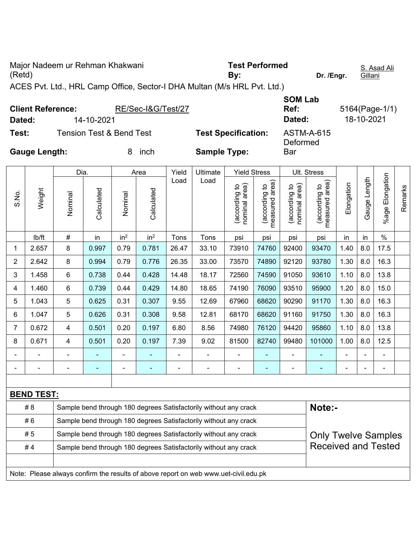Major Nadeem ur Rehman Khakwani (Retd) **Test Performed By: Dr. /Engr.**  S. Asad Ali **Gillani** ACES Pvt. Ltd., HRL Camp Office, Sector-I DHA Multan (M/s HRL Pvt. Ltd.) **Client Reference:** RE/Sec-I&G/Test/27 **SOM Lab Ref:** 5164(Page-1/1) **Dated:** 14-10-2021 **Dated:** 18-10-2021

**Test:** Tension Test & Bend Test **Test Specification:** ASTM-A-615 **Gauge Length:** 8 inch **Sample Type:**  Deformed **Bar** 

Dia. | Area | Yield | Ultimate | Yield Stress | Ult. Stress %age Elongation %age Elongation Gauge Length Load Load (according to<br>measured area) Gauge Length (according to<br>measured area) measured area) measured area) (according to<br>nominal area) (according to<br>nominal area) Elongation nominal area) nominal area) Elongation (according to (according to (according to (according to Remarks Remarks **Calculated Calculated** Weight Calculated Calculated Nominal Nominal S.No. Vominal Vominal lb/ft  $\vert$  #  $\vert$  in  $\vert$  in<sup>2</sup>  $\vert$  in<sup>2</sup>  $\vert$  Tons  $\vert$  Tons  $\vert$  psi  $\vert$  psi  $\vert$  psi  $\vert$  in  $\vert$  in  $\vert$  % 1 | 2.657 | 8 | 0.997 | 0.79 | 0.781 | 26.47 | 33.10 | 73910 | 74760 | 92400 | 93470 | 1.40 | 8.0 | 17.5 2 | 2.642 | 8 | 0.994 | 0.79 | 0.776 | 26.35 | 33.00 | 73570 | 74890 | 92120 | 93780 | 1.30 | 8.0 | 16.3 3 | 1.458 | 6 | 0.738 | 0.44 | 0.428 | 14.48 | 18.17 | 72560 | 74590 | 91050 | 93610 | 1.10 | 8.0 | 13.8 4 | 1.460 | 6 | 0.739 | 0.44 | 0.429 | 14.80 | 18.65 | 74190 | 76090 | 93510 | 95900 | 1.20 | 8.0 | 15.0 5 | 1.043 | 5 | 0.625 | 0.31 | 0.307 | 9.55 | 12.69 | 67960 | 68620 | 90290 | 91170 | 1.30 | 8.0 | 16.3 6 | 1.047 | 5 | 0.626 | 0.31 | 0.308 | 9.58 | 12.81 | 68170 |68620 | 91160 | 91750 | 1.30 | 8.0 | 16.3 7 | 0.672 | 4 | 0.501 | 0.20 | 0.197 | 6.80 | 8.56 | 74980 | 76120 | 94420 | 95860 | 1.10 | 8.0 | 13.8 8 | 0.671 | 4 | 0.501 | 0.20 | 0.197 | 7.39 | 9.02 | 81500 |82740 | 99480 | 101000 | 1.00 | 8.0 | 12.5 - - - - - - - - - - - - - - - - - - - - - - - - - - - - - - **BEND TEST:**  # 8 Sample bend through 180 degrees Satisfactorily without any crack **Note:- Note:** #6 Sample bend through 180 degrees Satisfactorily without any crack #5 Sample bend through 180 degrees Satisfactorily without any crack Only Twelve Samples Received and Tested #4 Sample bend through 180 degrees Satisfactorily without any crack Note: Please always confirm the results of above report on web www.uet-civil.edu.pk